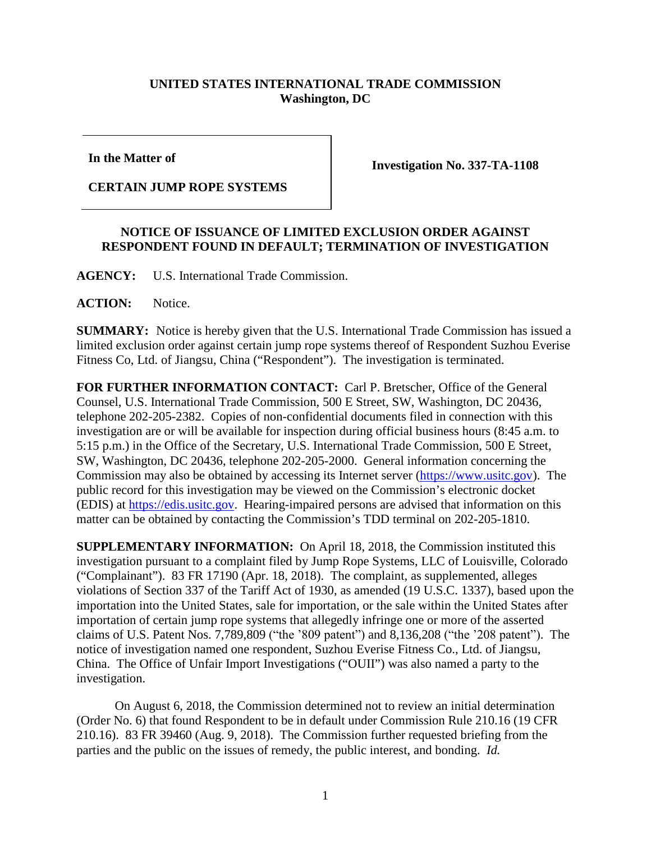## **UNITED STATES INTERNATIONAL TRADE COMMISSION Washington, DC**

**In the Matter of**

## **CERTAIN JUMP ROPE SYSTEMS**

**Investigation No. 337-TA-1108**

## **NOTICE OF ISSUANCE OF LIMITED EXCLUSION ORDER AGAINST RESPONDENT FOUND IN DEFAULT; TERMINATION OF INVESTIGATION**

**AGENCY:** U.S. International Trade Commission.

**ACTION:** Notice.

**SUMMARY:** Notice is hereby given that the U.S. International Trade Commission has issued a limited exclusion order against certain jump rope systems thereof of Respondent Suzhou Everise Fitness Co, Ltd. of Jiangsu, China ("Respondent"). The investigation is terminated.

**FOR FURTHER INFORMATION CONTACT:** Carl P. Bretscher, Office of the General Counsel, U.S. International Trade Commission, 500 E Street, SW, Washington, DC 20436, telephone 202-205-2382. Copies of non-confidential documents filed in connection with this investigation are or will be available for inspection during official business hours (8:45 a.m. to 5:15 p.m.) in the Office of the Secretary, U.S. International Trade Commission, 500 E Street, SW, Washington, DC 20436, telephone 202-205-2000. General information concerning the Commission may also be obtained by accessing its Internet server [\(https://www.usitc.gov\)](http://www.usitc.gov/). The public record for this investigation may be viewed on the Commission's electronic docket (EDIS) at [https://edis.usitc.gov.](http://edis.usitc.gov/) Hearing-impaired persons are advised that information on this matter can be obtained by contacting the Commission's TDD terminal on 202-205-1810.

**SUPPLEMENTARY INFORMATION:** On April 18, 2018, the Commission instituted this investigation pursuant to a complaint filed by Jump Rope Systems, LLC of Louisville, Colorado ("Complainant"). 83 FR 17190 (Apr. 18, 2018). The complaint, as supplemented, alleges violations of Section 337 of the Tariff Act of 1930, as amended (19 U.S.C. 1337), based upon the importation into the United States, sale for importation, or the sale within the United States after importation of certain jump rope systems that allegedly infringe one or more of the asserted claims of U.S. Patent Nos. 7,789,809 ("the '809 patent") and 8,136,208 ("the '208 patent"). The notice of investigation named one respondent, Suzhou Everise Fitness Co., Ltd. of Jiangsu, China. The Office of Unfair Import Investigations ("OUII") was also named a party to the investigation.

On August 6, 2018, the Commission determined not to review an initial determination (Order No. 6) that found Respondent to be in default under Commission Rule 210.16 (19 CFR 210.16). 83 FR 39460 (Aug. 9, 2018). The Commission further requested briefing from the parties and the public on the issues of remedy, the public interest, and bonding. *Id.*